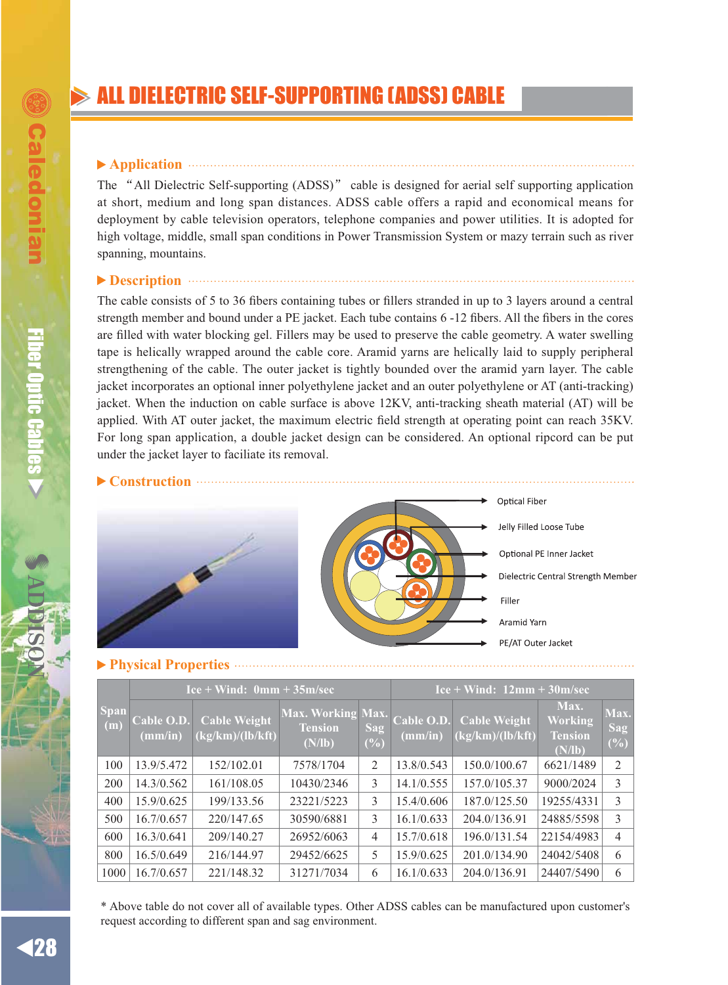### **Application**

The "All Dielectric Self-supporting (ADSS)" cable is designed for aerial self supporting application at short, medium and long span distances. ADSS cable offers a rapid and economical means for deployment by cable television operators, telephone companies and power utilities. It is adopted for high voltage, middle, small span conditions in Power Transmission System or mazy terrain such as river spanning, mountains.

# **Description**

The cable consists of 5 to 36 fibers containing tubes or fillers stranded in up to 3 layers around a central strength member and bound under a PE jacket. Each tube contains 6 -12 fibers. All the fibers in the cores are filled with water blocking gel. Fillers may be used to preserve the cable geometry. A water swelling tape is helically wrapped around the cable core. Aramid yarns are helically laid to supply peripheral strengthening of the cable. The outer jacket is tightly bounded over the aramid yarn layer. The cable jacket incorporates an optional inner polyethylene jacket and an outer polyethylene or AT (anti-tracking) jacket. When the induction on cable surface is above 12KV, anti-tracking sheath material (AT) will be applied. With AT outer jacket, the maximum electric field strength at operating point can reach 35KV. For long span application, a double jacket design can be considered. An optional ripcord can be put under the jacket layer to faciliate its removal.



|                    | $Ice + Wind: 0mm + 35m/sec$ |                                            |                                               |                | $Ice + Wind: 12mm + 30m/sec$ |                                         |                                                    |                    |
|--------------------|-----------------------------|--------------------------------------------|-----------------------------------------------|----------------|------------------------------|-----------------------------------------|----------------------------------------------------|--------------------|
| <b>Span</b><br>(m) | Cable O.D.<br>(mm/in)       | <b>Cable Weight</b><br>$\log(km)/(lb/kft)$ | Max. Working Max.<br><b>Tension</b><br>(N/lb) | Sag<br>(%)     | Cable O.D.<br>(mm/in)        | <b>Cable Weight</b><br>(kg/km)/(lb/kft) | Max.<br><b>Working</b><br><b>Tension</b><br>(N/lb) | Max.<br>Sag<br>(%) |
| 100                | 13.9/5.472                  | 152/102.01                                 | 7578/1704                                     | 2              | 13.8/0.543                   | 150.0/100.67                            | 6621/1489                                          | $\overline{2}$     |
| 200                | 14.3/0.562                  | 161/108.05                                 | 10430/2346                                    | 3              | 14.1/0.555                   | 157.0/105.37                            | 9000/2024                                          | 3                  |
| 400                | 15.9/0.625                  | 199/133.56                                 | 23221/5223                                    | 3              | 15.4/0.606                   | 187.0/125.50                            | 19255/4331                                         | 3                  |
| 500                | 16.7/0.657                  | 220/147.65                                 | 30590/6881                                    | 3              | 16.1/0.633                   | 204.0/136.91                            | 24885/5598                                         | 3                  |
| 600                | 16.3/0.641                  | 209/140.27                                 | 26952/6063                                    | $\overline{4}$ | 15.7/0.618                   | 196.0/131.54                            | 22154/4983                                         | $\overline{4}$     |
| 800                | 16.5/0.649                  | 216/144.97                                 | 29452/6625                                    | 5              | 15.9/0.625                   | 201.0/134.90                            | 24042/5408                                         | 6                  |
| 1000               | 16.7/0.657                  | 221/148.32                                 | 31271/7034                                    | 6              | 16.1/0.633                   | 204.0/136.91                            | 24407/5490                                         | 6                  |

\* Above table do not cover all of available types. Other ADSS cables can be manufactured upon customer's request according to different span and sag environment.